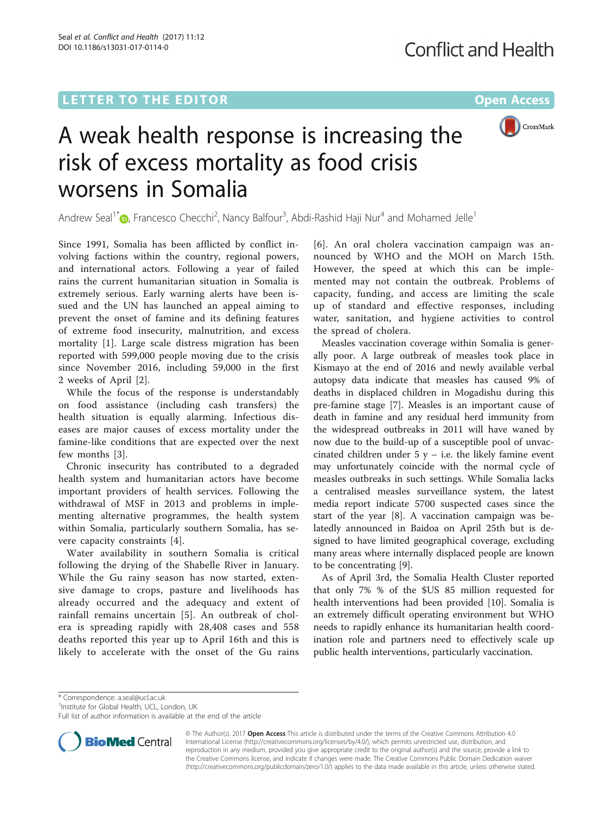## L E T T ER TOR OPEN A CHARGE THE EXPLORATION OF THE EXPLORATION OF THE EXPLORATION OF THE EXPLORATION OF THE E



# A weak health response is increasing the risk of excess mortality as food crisis worsens in Somalia

Andrew Seal<sup>1[\\*](http://orcid.org/0000-0003-3656-4054)</sup> $\bullet$ , Francesco Checchi<sup>2</sup>, Nancy Balfour<sup>3</sup>, Abdi-Rashid Haji Nur<sup>4</sup> and Mohamed Jelle<sup>1</sup>

Since 1991, Somalia has been afflicted by conflict involving factions within the country, regional powers, and international actors. Following a year of failed rains the current humanitarian situation in Somalia is extremely serious. Early warning alerts have been issued and the UN has launched an appeal aiming to prevent the onset of famine and its defining features of extreme food insecurity, malnutrition, and excess mortality [[1\]](#page-1-0). Large scale distress migration has been reported with 599,000 people moving due to the crisis since November 2016, including 59,000 in the first 2 weeks of April [[2](#page-1-0)].

While the focus of the response is understandably on food assistance (including cash transfers) the health situation is equally alarming. Infectious diseases are major causes of excess mortality under the famine-like conditions that are expected over the next few months [[3\]](#page-1-0).

Chronic insecurity has contributed to a degraded health system and humanitarian actors have become important providers of health services. Following the withdrawal of MSF in 2013 and problems in implementing alternative programmes, the health system within Somalia, particularly southern Somalia, has severe capacity constraints [[4\]](#page-1-0).

Water availability in southern Somalia is critical following the drying of the Shabelle River in January. While the Gu rainy season has now started, extensive damage to crops, pasture and livelihoods has already occurred and the adequacy and extent of rainfall remains uncertain [[5](#page-1-0)]. An outbreak of cholera is spreading rapidly with 28,408 cases and 558 deaths reported this year up to April 16th and this is likely to accelerate with the onset of the Gu rains

[[6](#page-1-0)]. An oral cholera vaccination campaign was announced by WHO and the MOH on March 15th. However, the speed at which this can be implemented may not contain the outbreak. Problems of capacity, funding, and access are limiting the scale up of standard and effective responses, including water, sanitation, and hygiene activities to control the spread of cholera.

Measles vaccination coverage within Somalia is generally poor. A large outbreak of measles took place in Kismayo at the end of 2016 and newly available verbal autopsy data indicate that measles has caused 9% of deaths in displaced children in Mogadishu during this pre-famine stage [[7\]](#page-1-0). Measles is an important cause of death in famine and any residual herd immunity from the widespread outbreaks in 2011 will have waned by now due to the build-up of a susceptible pool of unvaccinated children under  $5y - i.e.$  the likely famine event may unfortunately coincide with the normal cycle of measles outbreaks in such settings. While Somalia lacks a centralised measles surveillance system, the latest media report indicate 5700 suspected cases since the start of the year [\[8](#page-1-0)]. A vaccination campaign was belatedly announced in Baidoa on April 25th but is designed to have limited geographical coverage, excluding many areas where internally displaced people are known to be concentrating [[9\]](#page-1-0).

As of April 3rd, the Somalia Health Cluster reported that only 7% % of the \$US 85 million requested for health interventions had been provided [[10\]](#page-1-0). Somalia is an extremely difficult operating environment but WHO needs to rapidly enhance its humanitarian health coordination role and partners need to effectively scale up public health interventions, particularly vaccination.

\* Correspondence: [a.seal@ucl.ac.uk](mailto:a.seal@ucl.ac.uk) <sup>1</sup>

<sup>1</sup>Institute for Global Health, UCL, London, UK

Full list of author information is available at the end of the article



© The Author(s). 2017 **Open Access** This article is distributed under the terms of the Creative Commons Attribution 4.0 International License [\(http://creativecommons.org/licenses/by/4.0/](http://creativecommons.org/licenses/by/4.0/)), which permits unrestricted use, distribution, and reproduction in any medium, provided you give appropriate credit to the original author(s) and the source, provide a link to the Creative Commons license, and indicate if changes were made. The Creative Commons Public Domain Dedication waiver [\(http://creativecommons.org/publicdomain/zero/1.0/](http://creativecommons.org/publicdomain/zero/1.0/)) applies to the data made available in this article, unless otherwise stated.